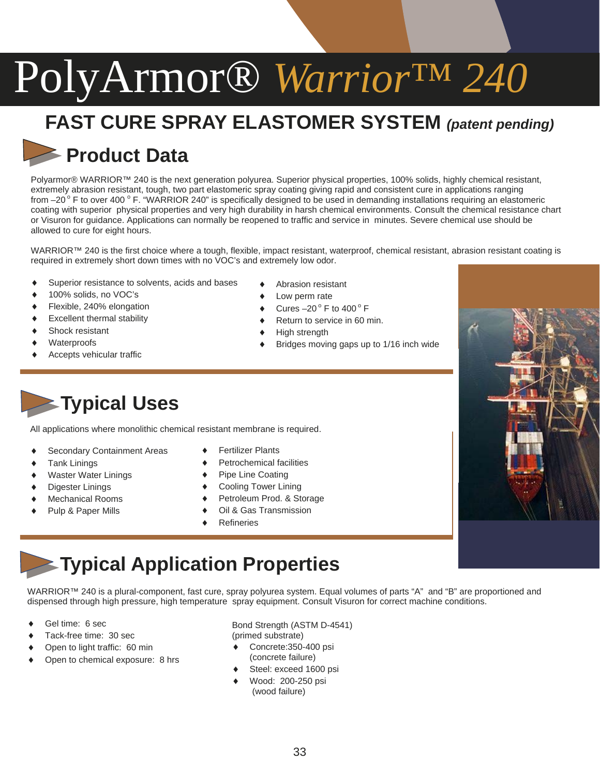## **FAST CURE SPRAY ELASTOMER SYSTEM** *(patent pending)*

#### **Product Data**

Polyarmor® WARRIOR™ 240 is the next generation polyurea. Superior physical properties, 100% solids, highly chemical resistant, extremely abrasion resistant, tough, two part elastomeric spray coating giving rapid and consistent cure in applications ranging from  $-20^{\circ}$  F to over 400 ° F. "WARRIOR 240" is specifically designed to be used in demanding installations requiring an elastomeric coating with superior physical properties and very high durability in harsh chemical environments. Consult the chemical resistance chart or Visuron for guidance. Applications can normally be reopened to traffic and service in minutes. Severe chemical use should be allowed to cure for eight hours.

WARRIOR™ 240 is the first choice where a tough, flexible, impact resistant, waterproof, chemical resistant, abrasion resistant coating is required in extremely short down times with no VOC's and extremely low odor.

- Superior resistance to solvents, acids and bases
- 100% solids, no VOC's
- Flexible, 240% elongation
- Excellent thermal stability
- Shock resistant
- Waterproofs
- Accepts vehicular traffic
- Abrasion resistant Low perm rate
- Cures  $-20^\circ$  F to  $400^\circ$  F
- Return to service in 60 min.
- High strength
- Bridges moving gaps up to 1/16 inch wide

**Typical Uses**

All applications where monolithic chemical resistant membrane is required.

- Secondary Containment Areas
- **Tank Linings**
- Waster Water Linings
- Digester Linings
- Mechanical Rooms
- Pulp & Paper Mills
- **Fertilizer Plants**
- Petrochemical facilities
- Pipe Line Coating
- Cooling Tower Lining
- Petroleum Prod. & Storage
- Oil & Gas Transmission
- **Refineries**

### **Typical Application Properties**

WARRIOR™ 240 is a plural-component, fast cure, spray polyurea system. Equal volumes of parts "A" and "B" are proportioned and dispensed through high pressure, high temperature spray equipment. Consult Visuron for correct machine conditions.

- Gel time: 6 sec
- Tack-free time: 30 sec
- Open to light traffic: 60 min
- Open to chemical exposure: 8 hrs

Bond Strength (ASTM D-4541) (primed substrate)

- Concrete: 350-400 psi (concrete failure)
- Steel: exceed 1600 psi
- Wood: 200-250 psi (wood failure)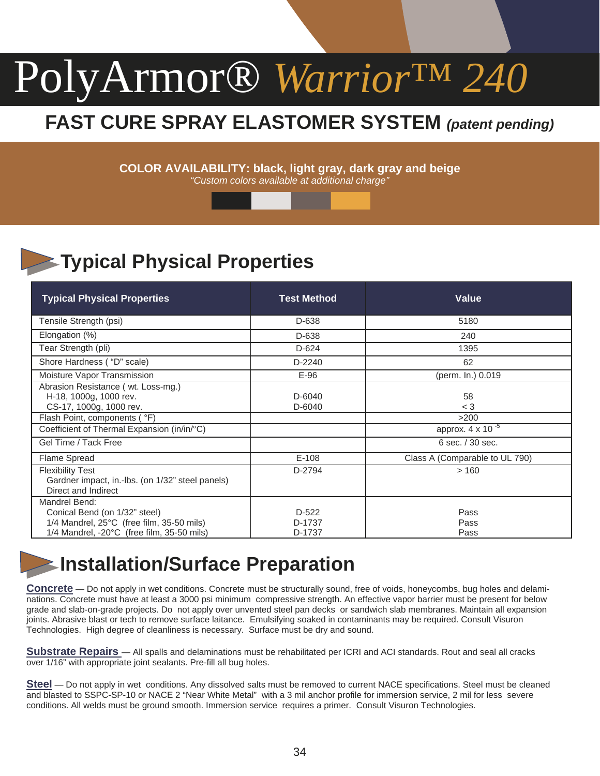#### **FAST CURE SPRAY ELASTOMER SYSTEM** *(patent pending)*

**COLOR AVAILABILITY: black, light gray, dark gray and beige**  *"Custom colors available at additional charge"*

### **Typical Physical Properties**

| <b>Typical Physical Properties</b>                                                                                                                    | <b>Test Method</b>          | <b>Value</b>                   |
|-------------------------------------------------------------------------------------------------------------------------------------------------------|-----------------------------|--------------------------------|
| Tensile Strength (psi)                                                                                                                                | D-638                       | 5180                           |
| Elongation (%)                                                                                                                                        | D-638                       | 240                            |
| Tear Strength (pli)                                                                                                                                   | $D-624$                     | 1395                           |
| Shore Hardness ("D" scale)                                                                                                                            | D-2240                      | 62                             |
| Moisture Vapor Transmission                                                                                                                           | $E-96$                      | (perm. ln.) 0.019              |
| Abrasion Resistance (wt. Loss-mg.)<br>H-18, 1000g, 1000 rev.<br>CS-17, 1000g, 1000 rev.                                                               | D-6040<br>D-6040            | 58<br>$<$ 3                    |
| Flash Point, components ( °F)                                                                                                                         |                             | >200                           |
| Coefficient of Thermal Expansion (in/in/°C)                                                                                                           |                             | approx. $4 \times 10^{-5}$     |
| Gel Time / Tack Free                                                                                                                                  |                             | 6 sec. / 30 sec.               |
| <b>Flame Spread</b>                                                                                                                                   | $E-108$                     | Class A (Comparable to UL 790) |
| <b>Flexibility Test</b><br>Gardner impact, in.-lbs. (on 1/32" steel panels)<br>Direct and Indirect                                                    | D-2794                      | >160                           |
| Mandrel Bend:<br>Conical Bend (on 1/32" steel)<br>1/4 Mandrel, 25°C (free film, 35-50 mils)<br>$1/4$ Mandrel, $-20^{\circ}$ C (free film, 35-50 mils) | $D-522$<br>D-1737<br>D-1737 | Pass<br>Pass<br>Pass           |

#### **Installation/Surface Preparation**

**Concrete** — Do not apply in wet conditions. Concrete must be structurally sound, free of voids, honeycombs, bug holes and delaminations. Concrete must have at least a 3000 psi minimum compressive strength. An effective vapor barrier must be present for below grade and slab-on-grade projects. Do not apply over unvented steel pan decks or sandwich slab membranes. Maintain all expansion joints. Abrasive blast or tech to remove surface laitance. Emulsifying soaked in contaminants may be required. Consult Visuron Technologies. High degree of cleanliness is necessary. Surface must be dry and sound.

**Substrate Repairs** — All spalls and delaminations must be rehabilitated per ICRI and ACI standards. Rout and seal all cracks over 1/16" with appropriate joint sealants. Pre-fill all bug holes.

**Steel** — Do not apply in wet conditions. Any dissolved salts must be removed to current NACE specifications. Steel must be cleaned and blasted to SSPC-SP-10 or NACE 2 "Near White Metal" with a 3 mil anchor profile for immersion service, 2 mil for less severe conditions. All welds must be ground smooth. Immersion service requires a primer. Consult Visuron Technologies.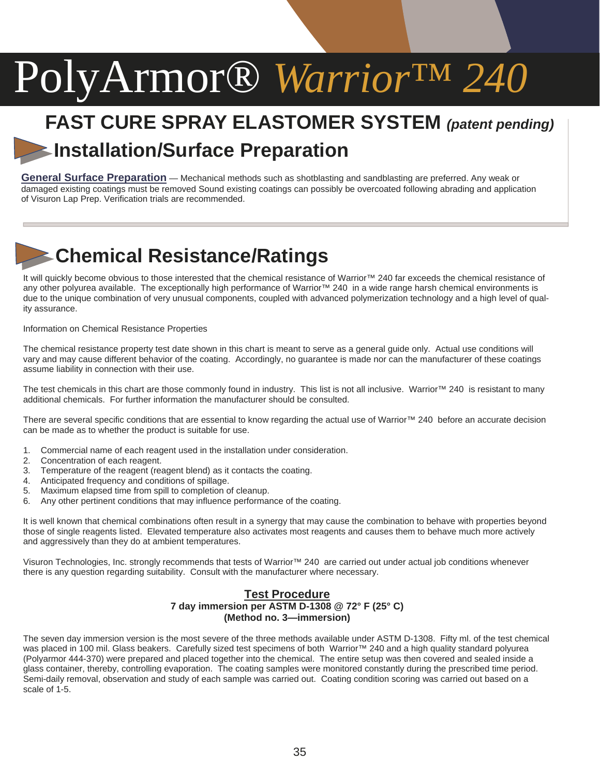### **FAST CURE SPRAY ELASTOMER SYSTEM** *(patent pending)* **Installation/Surface Preparation**

**General Surface Preparation** — Mechanical methods such as shotblasting and sandblasting are preferred. Any weak or damaged existing coatings must be removed Sound existing coatings can possibly be overcoated following abrading and application of Visuron Lap Prep. Verification trials are recommended.

### **Chemical Resistance/Ratings**

It will quickly become obvious to those interested that the chemical resistance of Warrior™ 240 far exceeds the chemical resistance of any other polyurea available. The exceptionally high performance of Warrior™ 240 in a wide range harsh chemical environments is due to the unique combination of very unusual components, coupled with advanced polymerization technology and a high level of quality assurance.

Information on Chemical Resistance Properties

The chemical resistance property test date shown in this chart is meant to serve as a general guide only. Actual use conditions will vary and may cause different behavior of the coating. Accordingly, no guarantee is made nor can the manufacturer of these coatings assume liability in connection with their use.

The test chemicals in this chart are those commonly found in industry. This list is not all inclusive. Warrior™ 240 is resistant to many additional chemicals. For further information the manufacturer should be consulted.

There are several specific conditions that are essential to know regarding the actual use of Warrior™ 240 before an accurate decision can be made as to whether the product is suitable for use.

- 1. Commercial name of each reagent used in the installation under consideration.
- 2. Concentration of each reagent.
- 3. Temperature of the reagent (reagent blend) as it contacts the coating.
- 4. Anticipated frequency and conditions of spillage.
- 5. Maximum elapsed time from spill to completion of cleanup.
- 6. Any other pertinent conditions that may influence performance of the coating.

It is well known that chemical combinations often result in a synergy that may cause the combination to behave with properties beyond those of single reagents listed. Elevated temperature also activates most reagents and causes them to behave much more actively and aggressively than they do at ambient temperatures.

Visuron Technologies, Inc. strongly recommends that tests of Warrior™ 240 are carried out under actual job conditions whenever there is any question regarding suitability. Consult with the manufacturer where necessary.

#### **Test Procedure 7 day immersion per ASTM D-1308 @ 72° F (25° C) (Method no. 3—immersion)**

The seven day immersion version is the most severe of the three methods available under ASTM D-1308. Fifty ml. of the test chemical was placed in 100 mil. Glass beakers. Carefully sized test specimens of both Warrior™ 240 and a high quality standard polyurea (Polyarmor 444-370) were prepared and placed together into the chemical. The entire setup was then covered and sealed inside a glass container, thereby, controlling evaporation. The coating samples were monitored constantly during the prescribed time period. Semi-daily removal, observation and study of each sample was carried out. Coating condition scoring was carried out based on a scale of 1-5.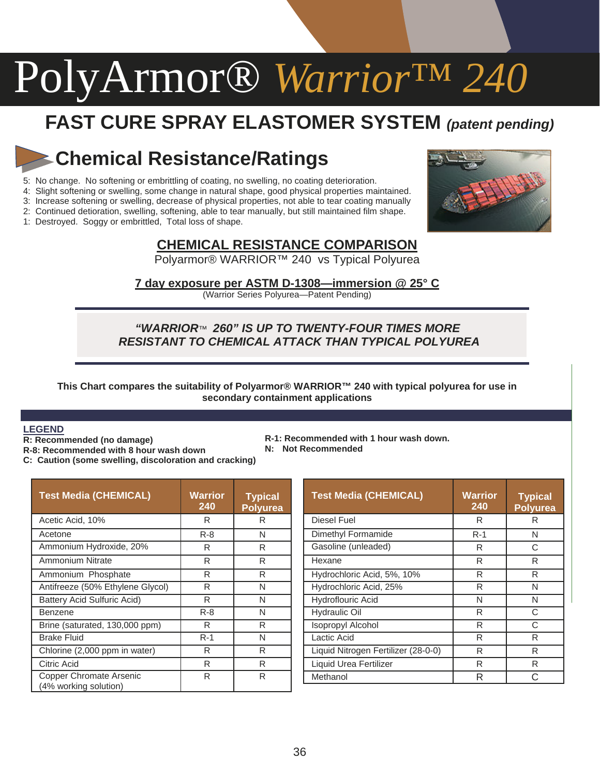### **FAST CURE SPRAY ELASTOMER SYSTEM** *(patent pending)*

#### **Chemical Resistance/Ratings**

- 5: No change. No softening or embrittling of coating, no swelling, no coating deterioration.
- 4: Slight softening or swelling, some change in natural shape, good physical properties maintained.

3: Increase softening or swelling, decrease of physical properties, not able to tear coating manually

2: Continued detioration, swelling, softening, able to tear manually, but still maintained film shape.

1: Destroyed. Soggy or embrittled, Total loss of shape.



#### **CHEMICAL RESISTANCE COMPARISON**

Polyarmor® WARRIOR™ 240 vs Typical Polyurea

**7 day exposure per ASTM D-1308—immersion @ 25° C** (Warrior Series Polyurea—Patent Pending)

#### *"WARRIOR*™ *260" IS UP TO TWENTY-FOUR TIMES MORE RESISTANT TO CHEMICAL ATTACK THAN TYPICAL POLYUREA*

**This Chart compares the suitability of Polyarmor® WARRIOR™ 240 with typical polyurea for use in secondary containment applications** 

#### **LEGEND**

- **R: Recommended (no damage)**
- **R-8: Recommended with 8 hour wash down**
- **C: Caution (some swelling, discoloration and cracking)**
- **R-1: Recommended with 1 hour wash down.**
- **N: Not Recommended**

| <b>Test Media (CHEMICAL)</b>                     | Warrior<br>240 | <b>Typical</b><br><b>Polyurea</b> |  |
|--------------------------------------------------|----------------|-----------------------------------|--|
| Acetic Acid, 10%                                 | R              | R                                 |  |
| Acetone                                          | $R - 8$        | N                                 |  |
| Ammonium Hydroxide, 20%                          | R              | R                                 |  |
| Ammonium Nitrate                                 | R              | R                                 |  |
| Ammonium Phosphate                               | R              | R                                 |  |
| Antifreeze (50% Ethylene Glycol)                 | R              | N                                 |  |
| Battery Acid Sulfuric Acid)                      | R              | N                                 |  |
| Benzene                                          | $R - 8$        | N                                 |  |
| Brine (saturated, 130,000 ppm)                   | R              | R                                 |  |
| <b>Brake Fluid</b>                               | $R-1$          | N                                 |  |
| Chlorine (2,000 ppm in water)                    | R              | R                                 |  |
| Citric Acid                                      | R              | R                                 |  |
| Copper Chromate Arsenic<br>(4% working solution) | R              | R                                 |  |

| <b>Test Media (CHEMICAL)</b>        | <b>Warrior</b><br>240 | <b>Typical</b><br><b>Polyurea</b> |  |
|-------------------------------------|-----------------------|-----------------------------------|--|
| Diesel Fuel                         | R                     | R                                 |  |
| Dimethyl Formamide                  | $R-1$                 | N                                 |  |
| Gasoline (unleaded)                 | R                     | C                                 |  |
| Hexane                              | R                     | R                                 |  |
| Hydrochloric Acid, 5%, 10%          | R                     | R                                 |  |
| Hydrochloric Acid, 25%              | R                     | N                                 |  |
| <b>Hydroflouric Acid</b>            | N                     | N                                 |  |
| <b>Hydraulic Oil</b>                | R                     | C                                 |  |
| <b>Isopropyl Alcohol</b>            | R                     | C                                 |  |
| Lactic Acid                         | R                     | R                                 |  |
| Liquid Nitrogen Fertilizer (28-0-0) | R                     | R                                 |  |
| Liquid Urea Fertilizer              | R                     | R                                 |  |
| Methanol                            | R                     | C.                                |  |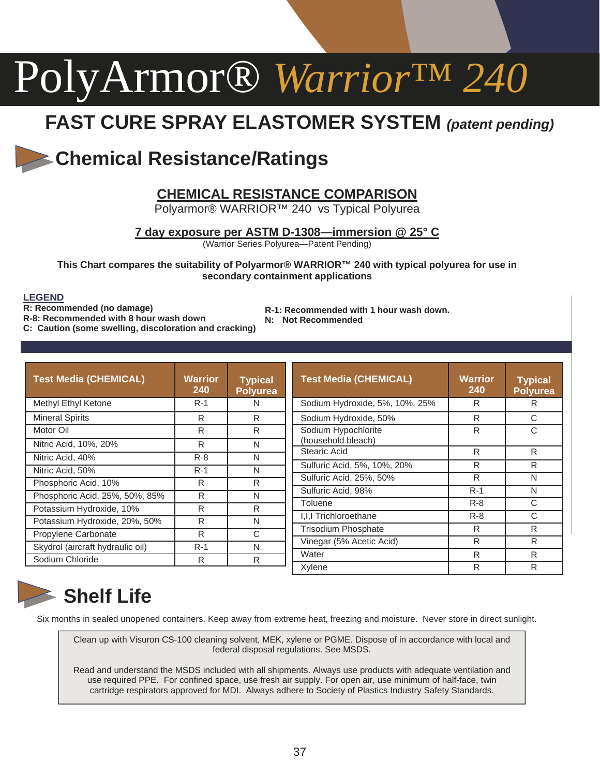### **FAST CURE SPRAY ELASTOMER SYSTEM** *(patent pending)*

#### **Chemical Resistance/Ratings**

#### **CHEMICAL RESISTANCE COMPARISON**

Polyarmor® WARRIOR<sup>™</sup> 240 vs Typical Polyurea

**7 day exposure per ASTM D-1308—immersion @ 25° C**

(Warrior Series Polyurea—Patent Pending)

**This Chart compares the suitability of Polyarmor® WARRIOR™ 240 with typical polyurea for use in secondary containment applications** 

#### **LEGEND**

**R: Recommended (no damage)** 

- **R-8: Recommended with 8 hour wash down**
- **C: Caution (some swelling, discoloration and cracking)**
- **R-1: Recommended with 1 hour wash down.**
- **N: Not Recommended**

| <b>Test Media (CHEMICAL)</b>     | Warrior<br>240 | <b>Typical</b><br>Polyurea | <b>Test Media (CHEMICAL)</b>   | <b>Warrior</b><br>240 | <b>Typical</b><br><b>Polyurea</b> |
|----------------------------------|----------------|----------------------------|--------------------------------|-----------------------|-----------------------------------|
| Methyl Ethyl Ketone              | $R-1$          | N                          | Sodium Hydroxide, 5%, 10%, 25% | R                     | R                                 |
| <b>Mineral Spirits</b>           | R              | R                          | Sodium Hydroxide, 50%          | R                     | С                                 |
| Motor Oil                        | R              | R                          | Sodium Hypochlorite            | R                     | C                                 |
| Nitric Acid, 10%, 20%            | R              | N                          | (household bleach)             |                       |                                   |
| Nitric Acid, 40%                 | $R - 8$        | N                          | Stearic Acid                   | R                     | R                                 |
| Nitric Acid, 50%                 | $R-1$          | N                          | Sulfuric Acid, 5%, 10%, 20%    | R                     | R                                 |
| Phosphoric Acid, 10%             | R              | R                          | Sulfuric Acid, 25%, 50%        | R                     | N                                 |
| Phosphoric Acid, 25%, 50%, 85%   | R              | N                          | Sulfuric Acid, 98%             | $R-1$                 | N                                 |
| Potassium Hydroxide, 10%         | R              | R                          | Toluene                        | $R - 8$               | C                                 |
| Potassium Hydroxide, 20%, 50%    | R              | N                          | I.I.I Trichloroethane          | $R - 8$               | С                                 |
| Propylene Carbonate              | R              | С                          | <b>Trisodium Phosphate</b>     | R                     | R                                 |
|                                  |                |                            | Vinegar (5% Acetic Acid)       | R                     | R                                 |
| Skydrol (aircraft hydraulic oil) | $R-1$          | N                          | Water                          | R                     | R                                 |
| Sodium Chloride                  | R              | R                          | Xylene                         | R                     | R                                 |

#### **Shelf Life**

Six months in sealed unopened containers. Keep away from extreme heat, freezing and moisture. Never store in direct sunlight.

Clean up with Visuron CS-100 cleaning solvent, MEK, xylene or PGME. Dispose of in accordance with local and federal disposal regulations. See MSDS.

Read and understand the MSDS included with all shipments. Always use products with adequate ventilation and use required PPE. For confined space, use fresh air supply. For open air, use minimum of half-face, twin cartridge respirators approved for MDI. Always adhere to Society of Plastics Industry Safety Standards.